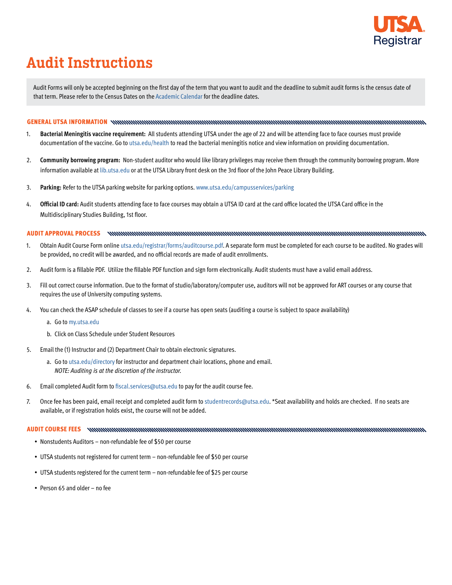

## Audit Instructions

Audit Forms will only be accepted beginning on the first day of the term that you want to audit and the deadline to submit audit forms is the census date of that term. Please refer to the Census Dates on the [Academic Calendar](https://asap.utsa.edu/pls/prod/xwskschd.P_UTSA_OpenSch) for the deadline dates.

## GENERAL UTSA INFORMATION

- 1. **Bacterial Meningitis vaccine requirement:** All students attending UTSA under the age of 22 and will be attending face to face courses must provide documentation of the vaccine. Go to [utsa.edu/health](https://www.utsa.edu/health/requirements/meningitis.html#_ga=2.26556925.1190619422.1596485782-1457048628.1594650667) to read the bacterial meningitis notice and view information on providing documentation.
- 2. **Community borrowing program:** Non-student auditor who would like library privileges may receive them through the community borrowing program. More information available at [lib.utsa.edu](https://lib.utsa.edu/) or at the UTSA Library front desk on the 3rd floor of the John Peace Library Building.
- 3. **Parking:** Refer to the UTSA parking website for parking options. [www.utsa.edu/campusservices/parking](https://www.utsa.edu/campusservices/parking/)
- 4. **Official ID card:** Audit students attending face to face courses may obtain a UTSA ID card at the card office located the UTSA Card office in the Multidisciplinary Studies Building, 1st floor.

## AUDIT APPROVAL PROCESS

- 1. Obtain Audit Course Form online [utsa.edu/registrar/forms/auditcourse.pdf](https://onestop.utsa.edu/forms/registrar/). A separate form must be completed for each course to be audited. No grades will be provided, no credit will be awarded, and no official records are made of audit enrollments.
- 2. Audit form is a fillable PDF. Utilize the fillable PDF function and sign form electronically. Audit students must have a valid email address.
- 3. Fill out correct course information. Due to the format of studio/laboratory/computer use, auditors will not be approved for ART courses or any course that requires the use of University computing systems.
- 4. You can check the ASAP schedule of classes to see if a course has open seats (auditing a course is subject to space availability)
	- a. Go to [my.utsa.edu](https://my.utsa.edu/)
	- b. Click on Class Schedule under Student Resources
- 5. Email the (1) Instructor and (2) Department Chair to obtain electronic signatures.
	- a. Go to [utsa.edu/directory](https://www.utsa.edu/directory/) for instructor and department chair locations, phone and email. *NOTE: Auditing is at the discretion of the instructor.*
- 6. Email completed Audit form to [fiscal.services@utsa.edu](mailto:fiscal.services%40utsa.edu?subject=) to pay for the audit course fee.
- 7. Once fee has been paid, email receipt and completed audit form to [studentrecords@utsa.edu.](mailto:studentrecords%40utsa.edu?subject=) \*Seat availability and holds are checked. If no seats are available, or if registration holds exist, the course will not be added.

AUDIT COURSE FEES DE ANNOUNCEMENT AUTOR COURSE FEES DE ANNOUNCEMENT AUTOR AUTOR AUTOR AUTOR AUTOR AUTOR AUTOR A

- Nonstudents Auditors non-refundable fee of \$50 per course
- UTSA students not registered for current term non-refundable fee of \$50 per course
- UTSA students registered for the current term non-refundable fee of \$25 per course
- Person 65 and older no fee